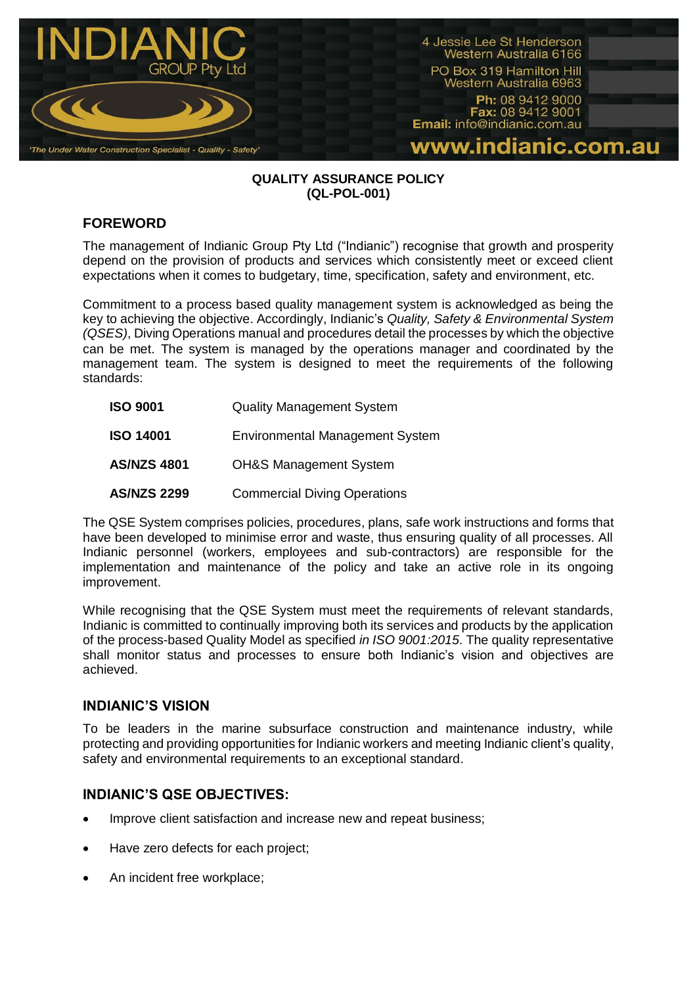

#### **QUALITY ASSURANCE POLICY (QL-POL-001)**

# **FOREWORD**

The management of Indianic Group Pty Ltd ("Indianic") recognise that growth and prosperity depend on the provision of products and services which consistently meet or exceed client expectations when it comes to budgetary, time, specification, safety and environment, etc.

Commitment to a process based quality management system is acknowledged as being the key to achieving the objective. Accordingly, Indianic's *Quality, Safety & Environmental System (QSES)*, Diving Operations manual and procedures detail the processes by which the objective can be met. The system is managed by the operations manager and coordinated by the management team. The system is designed to meet the requirements of the following standards:

| <b>ISO 9001</b>    | <b>Quality Management System</b>       |
|--------------------|----------------------------------------|
| <b>ISO 14001</b>   | <b>Environmental Management System</b> |
| <b>AS/NZS 4801</b> | <b>OH&amp;S Management System</b>      |
| <b>AS/NZS 2299</b> | <b>Commercial Diving Operations</b>    |

The QSE System comprises policies, procedures, plans, safe work instructions and forms that have been developed to minimise error and waste, thus ensuring quality of all processes. All Indianic personnel (workers, employees and sub-contractors) are responsible for the implementation and maintenance of the policy and take an active role in its ongoing improvement.

While recognising that the QSE System must meet the requirements of relevant standards, Indianic is committed to continually improving both its services and products by the application of the process-based Quality Model as specified *in ISO 9001:2015*. The quality representative shall monitor status and processes to ensure both Indianic's vision and objectives are achieved.

## **INDIANIC'S VISION**

To be leaders in the marine subsurface construction and maintenance industry, while protecting and providing opportunities for Indianic workers and meeting Indianic client's quality, safety and environmental requirements to an exceptional standard.

## **INDIANIC'S QSE OBJECTIVES:**

- Improve client satisfaction and increase new and repeat business;
- Have zero defects for each project;
- An incident free workplace;